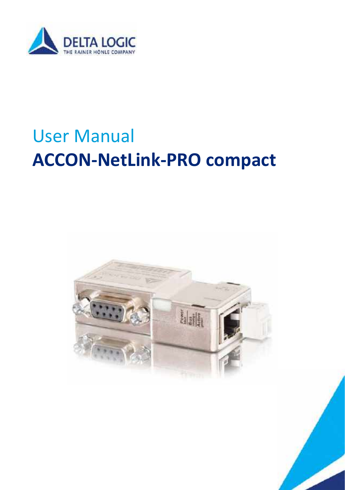

# User Manual **ACCON-NetLink-PRO compact**



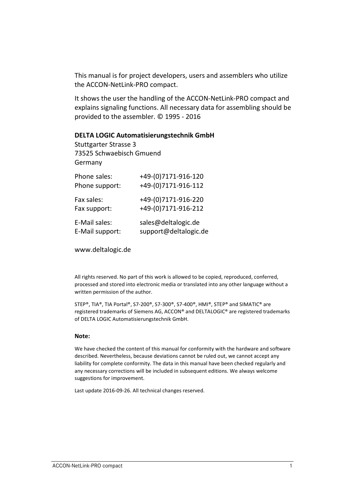This manual is for project developers, users and assemblers who utilize the ACCON-NetLink-PRO compact.

It shows the user the handling of the ACCON-NetLink-PRO compact and explains signaling functions. All necessary data for assembling should be provided to the assembler. © 1995 - 2016

#### **DELTA LOGIC Automatisierungstechnik GmbH**

Stuttgarter Strasse 3 73525 Schwaebisch Gmuend Germany

| Phone sales:    | +49-(0)7171-916-120   |
|-----------------|-----------------------|
| Phone support:  | +49-(0)7171-916-112   |
| Fax sales:      | +49-(0)7171-916-220   |
| Fax support:    | +49-(0)7171-916-212   |
| E-Mail sales:   | sales@deltalogic.de   |
| E-Mail support: | support@deltalogic.de |

www.deltalogic.de

All rights reserved. No part of this work is allowed to be copied, reproduced, conferred, processed and stored into electronic media or translated into any other language without a written permission of the author.

STEP®, TIA®, TIA Portal®, S7-200®, S7-300®, S7-400®, HMI®, STEP® and SIMATIC® are registered trademarks of Siemens AG, ACCON® and DELTALOGIC® are registered trademarks of DELTA LOGIC Automatisierungstechnik GmbH.

#### **Note:**

We have checked the content of this manual for conformity with the hardware and software described. Nevertheless, because deviations cannot be ruled out, we cannot accept any liability for complete conformity. The data in this manual have been checked regularly and any necessary corrections will be included in subsequent editions. We always welcome suggestions for improvement.

Last update 2016-09-26. All technical changes reserved.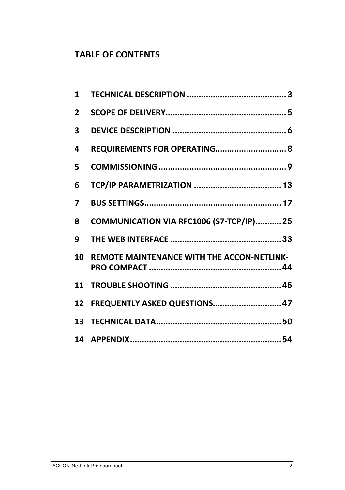# **TABLE OF CONTENTS**

| $\mathbf{1}$   |                                                   |
|----------------|---------------------------------------------------|
| $\overline{2}$ |                                                   |
| 3              |                                                   |
| 4              | REQUIREMENTS FOR OPERATING 8                      |
| 5              |                                                   |
| 6              |                                                   |
| 7              |                                                   |
| 8              | COMMUNICATION VIA RFC1006 (S7-TCP/IP)25           |
| 9              |                                                   |
| 10             | <b>REMOTE MAINTENANCE WITH THE ACCON-NETLINK-</b> |
|                |                                                   |
|                | 12 FREQUENTLY ASKED QUESTIONS 47                  |
|                |                                                   |
|                |                                                   |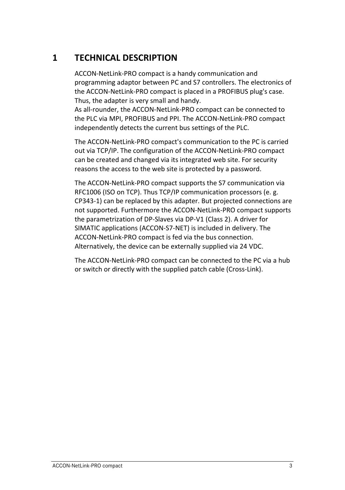# <span id="page-3-0"></span>**1 TECHNICAL DESCRIPTION**

ACCON-NetLink-PRO compact is a handy communication and programming adaptor between PC and S7 controllers. The electronics of the ACCON-NetLink-PRO compact is placed in a PROFIBUS plug's case. Thus, the adapter is very small and handy.

As all-rounder, the ACCON-NetLink-PRO compact can be connected to the PLC via MPI, PROFIBUS and PPI. The ACCON-NetLink-PRO compact independently detects the current bus settings of the PLC.

The ACCON-NetLink-PRO compact's communication to the PC is carried out via TCP/IP. The configuration of the ACCON-NetLink-PRO compact can be created and changed via its integrated web site. For security reasons the access to the web site is protected by a password.

The ACCON-NetLink-PRO compact supports the S7 communication via RFC1006 (ISO on TCP). Thus TCP/IP communication processors (e. g. CP343-1) can be replaced by this adapter. But projected connections are not supported. Furthermore the ACCON-NetLink-PRO compact supports the parametrization of DP-Slaves via DP-V1 (Class 2). A driver for SIMATIC applications (ACCON-S7-NET) is included in delivery. The ACCON-NetLink-PRO compact is fed via the bus connection. Alternatively, the device can be externally supplied via 24 VDC.

The ACCON-NetLink-PRO compact can be connected to the PC via a hub or switch or directly with the supplied patch cable (Cross-Link).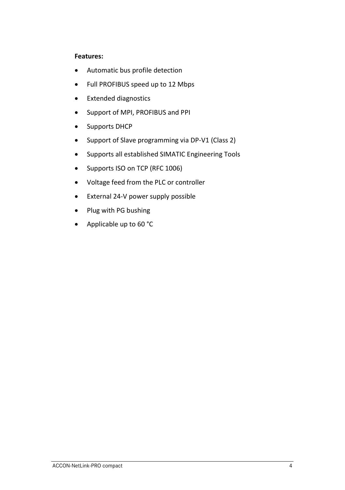## **Features:**

- Automatic bus profile detection
- Full PROFIBUS speed up to 12 Mbps
- Extended diagnostics
- Support of MPI, PROFIBUS and PPI
- Supports DHCP
- Support of Slave programming via DP-V1 (Class 2)
- Supports all established SIMATIC Engineering Tools
- Supports ISO on TCP (RFC 1006)
- Voltage feed from the PLC or controller
- External 24-V power supply possible
- Plug with PG bushing
- Applicable up to 60 °C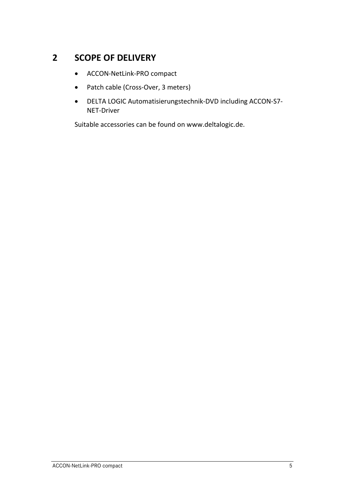# <span id="page-5-0"></span>**2 SCOPE OF DELIVERY**

- ACCON-NetLink-PRO compact
- Patch cable (Cross-Over, 3 meters)
- DELTA LOGIC Automatisierungstechnik-DVD including ACCON-S7- NET-Driver

Suitable accessories can be found on www.deltalogic.de.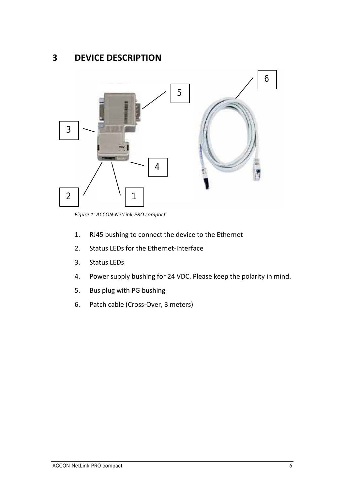# <span id="page-6-0"></span>**3 DEVICE DESCRIPTION**



*Figure 1: ACCON-NetLink-PRO compact*

- 1. RJ45 bushing to connect the device to the Ethernet
- 2. Status LEDs for the Ethernet-Interface
- 3. Status LEDs
- 4. Power supply bushing for 24 VDC. Please keep the polarity in mind.
- 5. Bus plug with PG bushing
- 6. Patch cable (Cross-Over, 3 meters)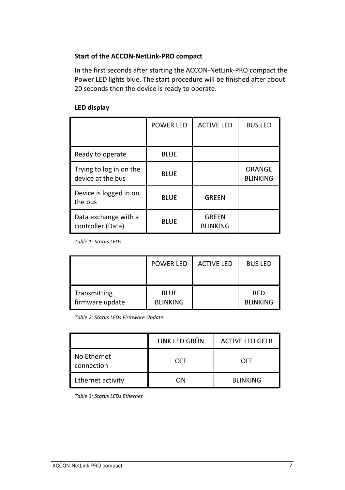## **Start of the ACCON-NetLink-PRO compact**

In the first seconds after starting the ACCON-NetLink-PRO compact the Power LED lights blue. The start procedure will be finished after about 20 seconds then the device is ready to operate.

### **LED display**

|                                              | <b>POWER LED</b> | <b>ACTIVE LED</b>               | <b>BUS LED</b>            |
|----------------------------------------------|------------------|---------------------------------|---------------------------|
| Ready to operate                             | <b>BLUE</b>      |                                 |                           |
| Trying to log in on the<br>device at the bus | <b>BLUE</b>      |                                 | ORANGE<br><b>BLINKING</b> |
| Device is logged in on<br>the bus            | <b>BLUE</b>      | <b>GREEN</b>                    |                           |
| Data exchange with a<br>controller (Data)    | <b>BLUE</b>      | <b>GREEN</b><br><b>BLINKING</b> |                           |

*Table 1: Status LEDs*

|                 | <b>POWER LED</b> | <b>ACTIVE LED</b> | <b>BUS LED</b>  |
|-----------------|------------------|-------------------|-----------------|
| Transmitting    | <b>BLUE</b>      |                   | RFD             |
| firmware update | <b>BLINKING</b>  |                   | <b>BLINKING</b> |

*Table 2: Status LEDs Firmware Update*

|                           | LINK LED GRÜN | <b>ACTIVE LED GELB</b> |
|---------------------------|---------------|------------------------|
| No Ethernet<br>connection | OFF           | OFF                    |
| Ethernet activity         | ΩN            | <b>BLINKING</b>        |

*Table 3: Status LEDs Ethernet*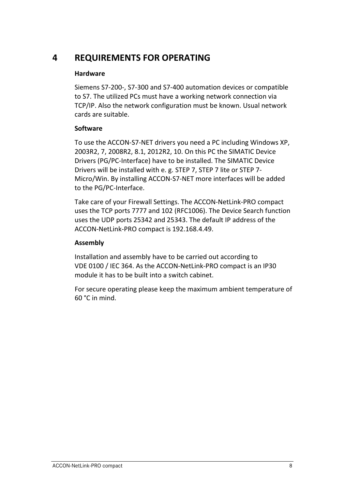# <span id="page-8-0"></span>**4 REQUIREMENTS FOR OPERATING**

# **Hardware**

Siemens S7-200-, S7-300 and S7-400 automation devices or compatible to S7. The utilized PCs must have a working network connection via TCP/IP. Also the network configuration must be known. Usual network cards are suitable.

# **Software**

To use the ACCON-S7-NET drivers you need a PC including Windows XP, 2003R2, 7, 2008R2, 8.1, 2012R2, 10. On this PC the SIMATIC Device Drivers (PG/PC-Interface) have to be installed. The SIMATIC Device Drivers will be installed with e. g. STEP 7, STEP 7 lite or STEP 7- Micro/Win. By installing ACCON-S7-NET more interfaces will be added to the PG/PC-Interface.

Take care of your Firewall Settings. The ACCON-NetLink-PRO compact uses the TCP ports 7777 and 102 (RFC1006). The Device Search function uses the UDP ports 25342 and 25343. The default IP address of the ACCON-NetLink-PRO compact is 192.168.4.49.

# **Assembly**

Installation and assembly have to be carried out according to VDE 0100 / IEC 364. As the ACCON-NetLink-PRO compact is an IP30 module it has to be built into a switch cabinet.

For secure operating please keep the maximum ambient temperature of 60 °C in mind.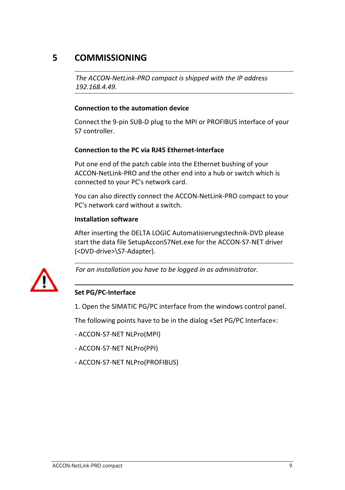# <span id="page-9-0"></span>**5 COMMISSIONING**

*The ACCON-NetLink-PRO compact is shipped with the IP address 192.168.4.49.*

## **Connection to the automation device**

Connect the 9-pin SUB-D plug to the MPI or PROFIBUS interface of your S7 controller.

# **Connection to the PC via RJ45 Ethernet-Interface**

Put one end of the patch cable into the Ethernet bushing of your ACCON-NetLink-PRO and the other end into a hub or switch which is connected to your PC's network card.

You can also directly connect the ACCON-NetLink-PRO compact to your PC's network card without a switch.

#### **Installation software**

After inserting the DELTA LOGIC Automatisierungstechnik-DVD please start the data file SetupAcconS7Net.exe for the ACCON-S7-NET driver (<DVD-drive>\S7-Adapter).



*For an installation you have to be logged in as administrator.*

# **Set PG/PC-Interface**

1. Open the SIMATIC PG/PC interface from the windows control panel.

The following points have to be in the dialog «Set PG/PC Interface«:

- ACCON-S7-NET NLPro(MPI)

- ACCON-S7-NET NLPro(PPI)
- ACCON-S7-NET NLPro(PROFIBUS)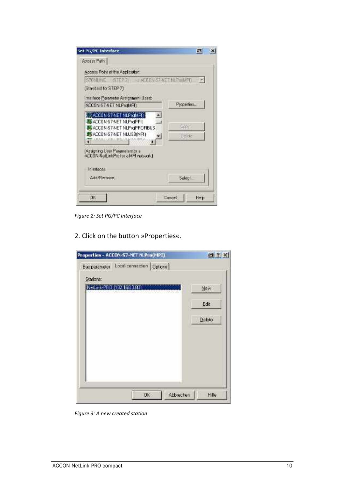| S70HLIVE ISTEP 2 4FFRN S7NET N F MPR |
|--------------------------------------|
|                                      |
|                                      |
| Properties                           |
|                                      |
| Ceru.                                |
| <b>Jelefe</b>                        |
|                                      |
|                                      |
|                                      |
| Select                               |
| Uancel<br>Heb                        |
|                                      |

*Figure 2: Set PG/PC Interface*

2. Click on the button »Properties«.



*Figure 3: A new created station*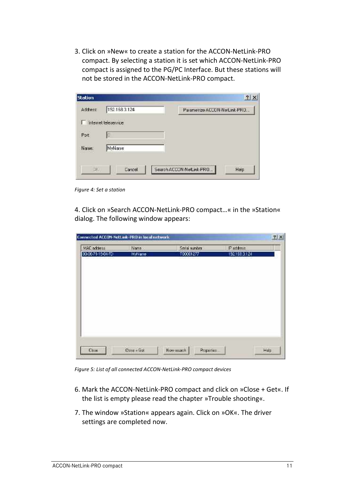3. Click on »New« to create a station for the ACCON-NetLink-PRO compact. By selecting a station it is set which ACCON-NetLink-PRO compact is assigned to the PG/PC Interface. But these stations will not be stored in the ACCON-NetLink-PRO compact.

| Station   |                       | $2 \times$                       |
|-----------|-----------------------|----------------------------------|
| Address:  | 192.168.3.124         | Parametrize ACCON-NetLink-PRO    |
|           | Internet teleservice. |                                  |
| Port      | ło                    |                                  |
| Name:     | MyName                |                                  |
| <b>JK</b> | Cancel                | Search ACCON-NetLink-PRO<br>Help |

*Figure 4: Set a station*

4. Click on »Search ACCON-NetLink-PRO compact…« in the »Station« dialog. The following window appears:

| MAC address                                     | Name:                                 | Serial number                     | Paddess                            |  |
|-------------------------------------------------|---------------------------------------|-----------------------------------|------------------------------------|--|
| 00:06/21-15:04 FD<br><b>Market Construction</b> | Mubiame<br><b>THE STATE OF STREET</b> | 100001277<br><b>START CONTROL</b> | 192.158.3.124<br>1. Selections and |  |
|                                                 |                                       |                                   |                                    |  |
|                                                 |                                       |                                   |                                    |  |
|                                                 |                                       |                                   |                                    |  |
|                                                 |                                       |                                   |                                    |  |
|                                                 |                                       |                                   |                                    |  |
|                                                 |                                       |                                   |                                    |  |
|                                                 |                                       |                                   |                                    |  |
|                                                 |                                       |                                   |                                    |  |

*Figure 5: List of all connected ACCON-NetLink-PRO compact devices*

- 6. Mark the ACCON-NetLink-PRO compact and click on »Close + Get«. If the list is empty please read the chapter »Trouble shooting«.
- 7. The window »Station« appears again. Click on »OK«. The driver settings are completed now.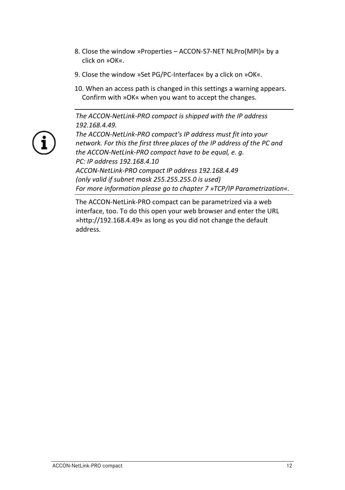- 8. Close the window »Properties ACCON-S7-NET NLPro(MPI)« by a click on »OK«.
- 9. Close the window »Set PG/PC-Interface« by a click on »OK«.
- 10. When an access path is changed in this settings a warning appears. Confirm with »OK« when you want to accept the changes.

*The ACCON-NetLink-PRO compact is shipped with the IP address 192.168.4.49.*



*The ACCON-NetLink-PRO compact's IP address must fit into your network. For this the first three places of the IP address of the PC and the ACCON-NetLink-PRO compact have to be equal, e. g. PC: IP address 192.168.4.10 ACCON-NetLink-PRO compact IP address 192.168.4.49 (only valid if subnet mask 255.255.255.0 is used) For more information please go to chapter 7 »TCP/IP Parametrization«.*

The ACCON-NetLink-PRO compact can be parametrized via a web interface, too. To do this open your web browser and enter the URL »http://192.168.4.49« as long as you did not change the default address.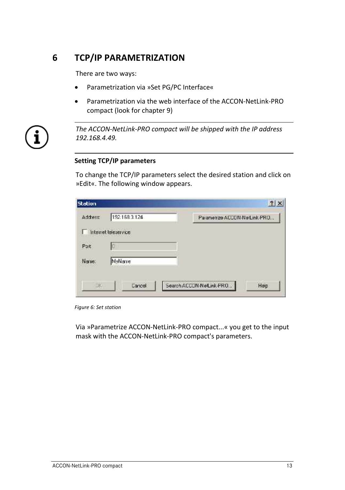# <span id="page-13-0"></span>**6 TCP/IP PARAMETRIZATION**

There are two ways:

- Parametrization via »Set PG/PC Interface«
- Parametrization via the web interface of the ACCON-NetLink-PRO compact (look for chapter [9\)](#page-33-0)



*The ACCON-NetLink-PRO compact will be shipped with the IP address 192.168.4.49.*

#### **Setting TCP/IP parameters**

To change the TCP/IP parameters select the desired station and click on »Edit«. The following window appears.

| <b>Station</b> |                       |  | 2 X                           |
|----------------|-----------------------|--|-------------------------------|
| Address:       | 192:168.3.124         |  | Parametrize ACCON-NetLink-PRO |
|                | Internet teleservice. |  |                               |
| Port:          | Ю                     |  |                               |
| Name:          | MyName                |  |                               |

*Figure 6: Set station*

Via »Parametrize ACCON-NetLink-PRO compact...« you get to the input mask with the ACCON-NetLink-PRO compact's parameters.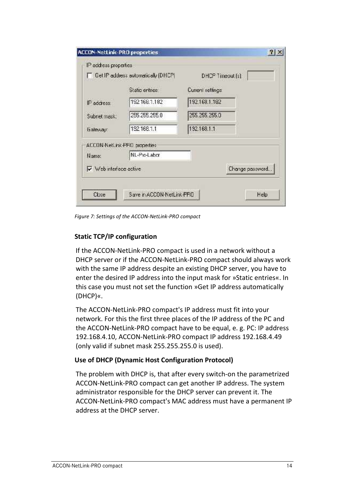| <b>Cet IP address automatically (DHCP)</b> | DHOP Timeout (s)  |                 |
|--------------------------------------------|-------------------|-----------------|
| Static entries                             | Current settings: |                 |
| 1921681.182<br>IF address:                 | 192.168.1.182     |                 |
| 255 255 255.0<br>Subnet mask:              | 255, 255, 255, 0  |                 |
| 192168.1.1<br><b>Galeway</b>               | 132.168.1.1       |                 |
| ACCON-NetLink-FRD properties:              |                   |                 |
| NL-Pio-Labor<br>Name:                      |                   |                 |
| V ob interace active                       |                   | Change password |

*Figure 7: Settings of the ACCON-NetLink-PRO compact*

## **Static TCP/IP configuration**

If the ACCON-NetLink-PRO compact is used in a network without a DHCP server or if the ACCON-NetLink-PRO compact should always work with the same IP address despite an existing DHCP server, you have to enter the desired IP address into the input mask for »Static entries«. In this case you must not set the function »Get IP address automatically (DHCP)«.

The ACCON-NetLink-PRO compact's IP address must fit into your network. For this the first three places of the IP address of the PC and the ACCON-NetLink-PRO compact have to be equal, e. g. PC: IP address 192.168.4.10, ACCON-NetLink-PRO compact IP address 192.168.4.49 (only valid if subnet mask 255.255.255.0 is used).

#### **Use of DHCP (Dynamic Host Configuration Protocol)**

The problem with DHCP is, that after every switch-on the parametrized ACCON-NetLink-PRO compact can get another IP address. The system administrator responsible for the DHCP server can prevent it. The ACCON-NetLink-PRO compact's MAC address must have a permanent IP address at the DHCP server.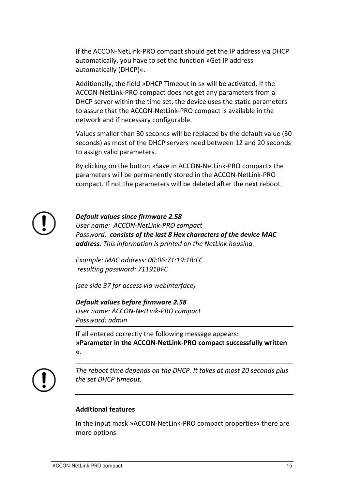If the ACCON-NetLink-PRO compact should get the IP address via DHCP automatically, you have to set the function »Get IP address automatically (DHCP)«.

Additionally, the field »DHCP Timeout in s« will be activated. If the ACCON-NetLink-PRO compact does not get any parameters from a DHCP server within the time set, the device uses the static parameters to assure that the ACCON-NetLink-PRO compact is available in the network and if necessary configurable.

Values smaller than 30 seconds will be replaced by the default value (30 seconds) as most of the DHCP servers need between 12 and 20 seconds to assign valid parameters.

By clicking on the button »Save in ACCON-NetLink-PRO compact« the parameters will be permanently stored in the ACCON-NetLink-PRO compact. If not the parameters will be deleted after the next reboot.



## *Default values since firmware 2.58*

*User name: ACCON-NetLink-PRO compact Password: consists of the last 8 Hex characters of the device MAC address. This information is printed on the NetLink housing.* 

*Example: MAC address: 00:06:71:19:1B:FC resulting password: 71191BFC*

*(see side 37 for access via webinterface)*

*Default values before firmware 2.58 User name: ACCON-NetLink-PRO compact Password: admin*

If all entered correctly the following message appears: **»Parameter in the ACCON-NetLink-PRO compact successfully written «**.



*The reboot time depends on the DHCP. It takes at most 20 seconds plus the set DHCP timeout.*

# **Additional features**

In the input mask »ACCON-NetLink-PRO compact properties« there are more options: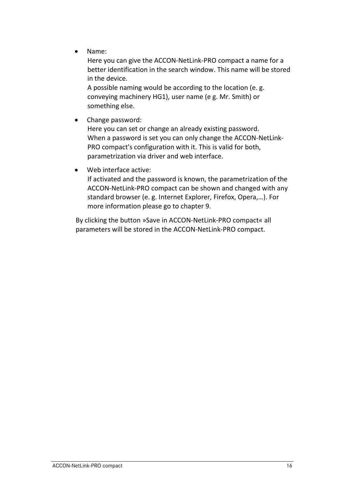• Name:

Here you can give the ACCON-NetLink-PRO compact a name for a better identification in the search window. This name will be stored in the device.

A possible naming would be according to the location (e. g. conveying machinery HG1), user name (e g. Mr. Smith) or something else.

• Change password:

Here you can set or change an already existing password. When a password is set you can only change the ACCON-NetLink-PRO compact's configuration with it. This is valid for both, parametrization via driver and web interface.

• Web interface active:

If activated and the password is known, the parametrization of the ACCON-NetLink-PRO compact can be shown and changed with any standard browser (e. g. Internet Explorer, Firefox, Opera,…). For more information please go to chapte[r 9.](#page-33-0)

By clicking the button »Save in ACCON-NetLink-PRO compact« all parameters will be stored in the ACCON-NetLink-PRO compact.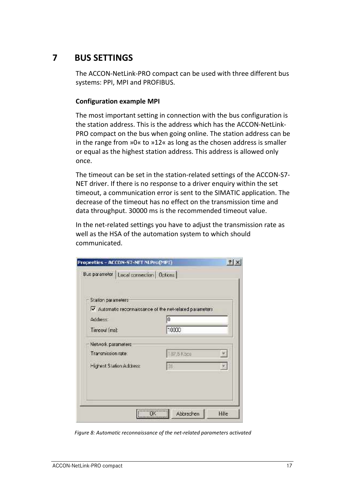# <span id="page-17-0"></span>**7 BUS SETTINGS**

The ACCON-NetLink-PRO compact can be used with three different bus systems: PPI, MPI and PROFIBUS.

## **Configuration example MPI**

The most important setting in connection with the bus configuration is the station address. This is the address which has the ACCON-NetLink-PRO compact on the bus when going online. The station address can be in the range from »0« to »12« as long as the chosen address is smaller or equal as the highest station address. This address is allowed only once.

The timeout can be set in the station-related settings of the ACCON-S7- NET driver. If there is no response to a driver enquiry within the set timeout, a communication error is sent to the SIMATIC application. The decrease of the timeout has no effect on the transmission time and data throughput. 30000 ms is the recommended timeout value.

In the net-related settings you have to adjust the transmission rate as well as the HSA of the automation system to which should communicated.

| Station parameters                                       |           |                              |
|----------------------------------------------------------|-----------|------------------------------|
| V Automatic reconnaissance of the net-related parameters |           |                              |
| Address:                                                 | Û         |                              |
| Timeoul (ms):                                            | 10000     |                              |
| Network parameters:                                      |           |                              |
| Transmission rate:                                       | 37.5 Kbcs |                              |
| Highest Station Address:                                 | ÎЗT       | $\vert \mathbf{v}_i \rangle$ |
|                                                          |           |                              |

*Figure 8: Automatic reconnaissance of the net-related parameters activated*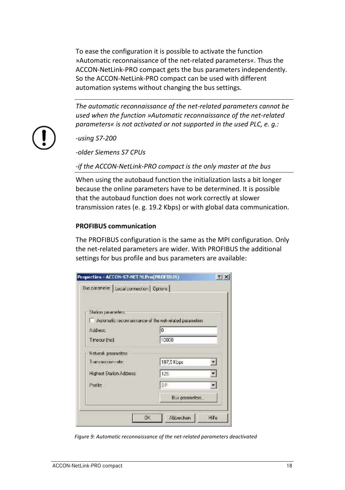To ease the configuration it is possible to activate the function »Automatic reconnaissance of the net-related parameters«. Thus the ACCON-NetLink-PRO compact gets the bus parameters independently. So the ACCON-NetLink-PRO compact can be used with different automation systems without changing the bus settings.

*The automatic reconnaissance of the net-related parameters cannot be used when the function »Automatic reconnaissance of the net-related parameters« is not activated or not supported in the used PLC, e. g.:*



*-using S7-200*

*-older Siemens S7 CPUs*

*-if the ACCON-NetLink-PRO compact is the only master at the bus*

When using the autobaud function the initialization lasts a bit longer because the online parameters have to be determined. It is possible that the autobaud function does not work correctly at slower transmission rates (e. g. 19.2 Kbps) or with global data communication.

#### **PROFIBUS communication**

The PROFIBUS configuration is the same as the MPI configuration. Only the net-related parameters are wider. With PROFIBUS the additional settings for bus profile and bus parameters are available:

| Station parameters                                      |                |  |
|---------------------------------------------------------|----------------|--|
| Automatic reconnaissance of the net-related parameters. |                |  |
| Address:                                                | $0^{\circ}$    |  |
| Time cui (ma)                                           | 10000          |  |
| Nickwark parameters                                     |                |  |
| Transmission relet                                      | 187,5 Kbps     |  |
| Highest Station Address:                                | 12F            |  |
| Profile:                                                | DF:            |  |
|                                                         | Bus perameters |  |

*Figure 9: Automatic reconnaissance of the net-related parameters deactivated*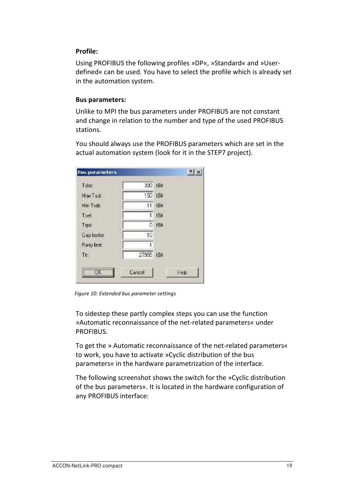## **Profile:**

Using PROFIBUS the following profiles »DP«, »Standard« and »Userdefined« can be used. You have to select the profile which is already set in the automation system.

#### **Bus parameters:**

Unlike to MPI the bus parameters under PROFIBUS are not constant and change in relation to the number and type of the used PROFIBUS stations.

You should always use the PROFIBUS parameters which are set in the actual automation system (look for it in the STEP7 project).

| <b>Bus parameters</b> |            | 7x   |
|-----------------------|------------|------|
| Talpt:                | 300 tBit   |      |
| Max Tsdr.             | 150 LBiL   |      |
| Min Tadd              | 11         | tBit |
| Tsel                  | 1          | 1Bit |
| Tqut                  | O          | tBit |
| Gap factor.           | 10         |      |
| <b>Helry Invit</b>    |            |      |
| Th:                   | 27955 tBit |      |
|                       | Eancel     | Hep  |

*Figure 10: Extended bus parameter settings*

To sidestep these partly complex steps you can use the function »Automatic reconnaissance of the net-related parameters« under PROFIBUS.

To get the » Automatic reconnaissance of the net-related parameters« to work, you have to activate »Cyclic distribution of the bus parameters« in the hardware parametrization of the interface.

The following screenshot shows the switch for the »Cyclic distribution of the bus parameters«. It is located in the hardware configuration of any PROFIBUS interface: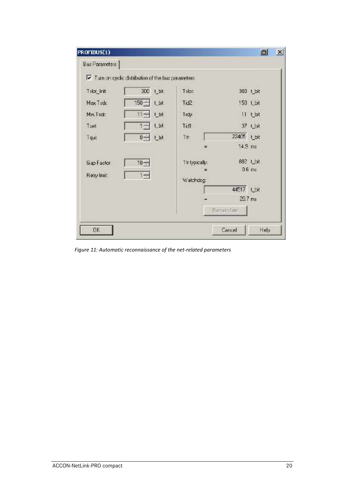| PROFIBUS(1)                                          |                            | a<br>$\vert x \vert$ |
|------------------------------------------------------|----------------------------|----------------------|
| Bus Parameters                                       |                            |                      |
| Ⅳ Turn on cyclic distribution of the bus perameters. |                            |                      |
| 300 t_bit<br>Telot Init                              | Talott                     | 300 t bit            |
| $150 - 1$ Lbt<br>Max Tsdr.                           | Tid2                       | 150 Lbt              |
| t bt<br>Min. Tech:<br>$11 -$                         | Tray.                      | $11$ t bit           |
| tbt<br>$1 -$<br>Tach                                 | Tidl                       | 37 Lbt               |
| $0 - 1$ t bt<br>Tqut                                 | Tir.                       | 22405 Lbt            |
|                                                      | 戻                          | $14.9$ ms            |
| $10 -$<br>Gap Factor<br>Reby Init:<br>$1 -$          | Th typically:<br>Watchdog: | 882 Lbit<br>D.B. ms  |
|                                                      |                            | 44517 Lbt            |
|                                                      |                            | 29.7 ms              |
|                                                      | <b>Becarulate</b>          |                      |
| <b>EK</b>                                            | <b>Cancel</b>              | Help                 |

*Figure 11: Automatic reconnaissance of the net-related parameters*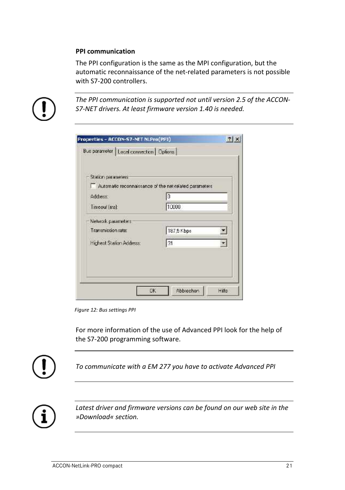#### **PPI communication**

The PPI configuration is the same as the MPI configuration, but the automatic reconnaissance of the net-related parameters is not possible with S7-200 controllers.



*The PPI communication is supported not until version 2.5 of the ACCON-S7-NET drivers. At least firmware version 1.40 is needed.*

| <b>Station parameters</b>                              |            |    |
|--------------------------------------------------------|------------|----|
| Automatic reconnaissance of the net-related parameters |            |    |
| Addiess                                                | n          |    |
| Timeoul (ms):                                          | 10000      |    |
| Network parameters:                                    |            |    |
| Transmission rate:                                     | 187,5 Kbps |    |
| Highest Stalion Address:                               | l31        | Y. |
|                                                        |            |    |

*Figure 12: Bus settings PPI*

For more information of the use of Advanced PPI look for the help of the S7-200 programming software.



*To communicate with a EM 277 you have to activate Advanced PPI*



*Latest driver and firmware versions can be found on our web site in the »Download« section.*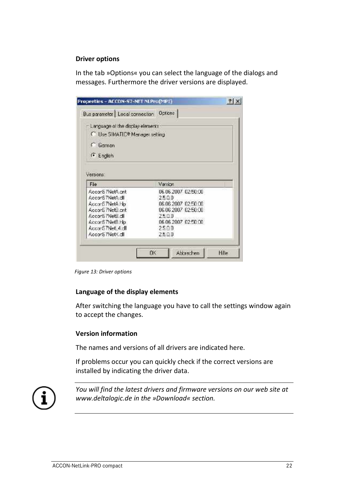#### **Driver options**

In the tab »Options« you can select the language of the dialogs and messages. Furthermore the driver versions are displayed.

| Properties - ACCDN-57-NET NLPro(MPI)     |                     | ? x |
|------------------------------------------|---------------------|-----|
| Bus parameter   Local connection Options |                     |     |
| Language of the display elements         |                     |     |
| <b>C. Use SIMATIC® Menager setting</b>   |                     |     |
| C German                                 |                     |     |
| <sup>1</sup> English                     |                     |     |
|                                          |                     |     |
|                                          |                     |     |
|                                          |                     |     |
| Versions:<br>Fie                         | Version             |     |
| AccorS /NetA.cnt                         | 06.06.2007.02:50:00 |     |
| AccorS 7NetA.dll                         | 25.00               |     |
| Accord 7NetA Hp                          | 06 06 2007 02:50:00 |     |
| Accord 7NetB.cnt                         | 06 06 2007 02:50:00 |     |
| AcconS /NetB.dll                         | 25.00               |     |
| AccorS ?Net8.hlp                         | 06.06.2007.02:50:00 |     |
| Accord 7Net 4rd                          | 25.00               |     |

*Figure 13: Driver options*

#### **Language of the display elements**

After switching the language you have to call the settings window again to accept the changes.

## **Version information**

The names and versions of all drivers are indicated here.

If problems occur you can quickly check if the correct versions are installed by indicating the driver data.



*You will find the latest drivers and firmware versions on our web site at www.deltalogic.de in the »Download« section.*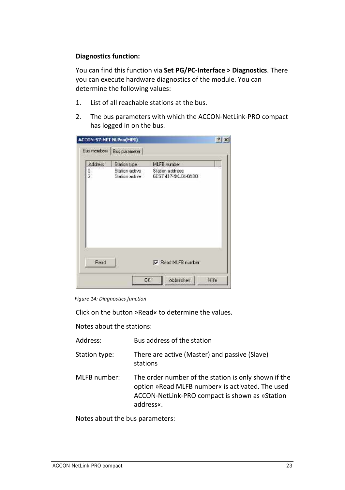## **Diagnostics function:**

You can find this function via **Set PG/PC-Interface > Diagnostics**. There you can execute hardware diagnostics of the module. You can determine the following values:

- 1. List of all reachable stations at the bus.
- 2. The bus parameters with which the ACCON-NetLink-PRO compact has logged in on the bus.

|               | Busimembers   Busiparameter    |                                |  |
|---------------|--------------------------------|--------------------------------|--|
| Address       | Station tipe<br>Station active | MLFB number<br>Station address |  |
| $\frac{0}{2}$ | Station active                 | 6ES7 417-44.04.04B0            |  |
|               |                                |                                |  |
|               |                                |                                |  |
|               |                                |                                |  |
|               |                                |                                |  |
|               |                                |                                |  |
|               |                                |                                |  |
| Read          |                                | Read MLFB number               |  |

*Figure 14: Diagnostics function*

Click on the button »Read« to determine the values.

Notes about the stations:

| Address:<br>Bus address of the station |  |
|----------------------------------------|--|
|----------------------------------------|--|

- Station type: There are active (Master) and passive (Slave) stations
- MLFB number: The order number of the station is only shown if the option »Read MLFB number« is activated. The used ACCON-NetLink-PRO compact is shown as »Station address«.

Notes about the bus parameters: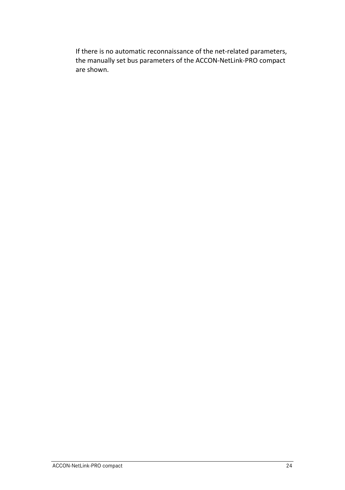If there is no automatic reconnaissance of the net-related parameters, the manually set bus parameters of the ACCON-NetLink-PRO compact are shown.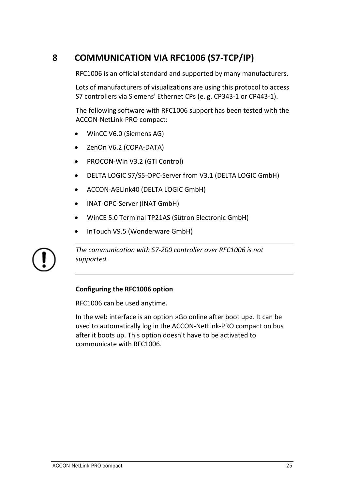# <span id="page-25-0"></span>**8 COMMUNICATION VIA RFC1006 (S7-TCP/IP)**

RFC1006 is an official standard and supported by many manufacturers.

Lots of manufacturers of visualizations are using this protocol to access S7 controllers via Siemens' Ethernet CPs (e. g. CP343-1 or CP443-1).

The following software with RFC1006 support has been tested with the ACCON-NetLink-PRO compact:

- WinCC V6.0 (Siemens AG)
- ZenOn V6.2 (COPA-DATA)
- PROCON-Win V3.2 (GTI Control)
- DELTA LOGIC S7/S5-OPC-Server from V3.1 (DELTA LOGIC GmbH)
- ACCON-AGLink40 (DELTA LOGIC GmbH)
- INAT-OPC-Server (INAT GmbH)
- WinCE 5.0 Terminal TP21AS (Sütron Electronic GmbH)
- InTouch V9.5 (Wonderware GmbH)



*The communication with S7-200 controller over RFC1006 is not supported.*

# **Configuring the RFC1006 option**

RFC1006 can be used anytime.

In the web interface is an option »Go online after boot up«. It can be used to automatically log in the ACCON-NetLink-PRO compact on bus after it boots up. This option doesn't have to be activated to communicate with RFC1006.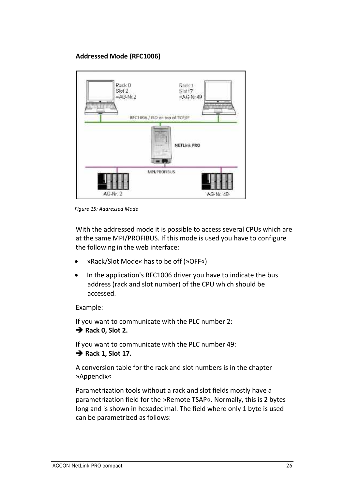# **Addressed Mode (RFC1006)**



*Figure 15: Addressed Mode*

With the addressed mode it is possible to access several CPUs which are at the same MPI/PROFIBUS. If this mode is used you have to configure the following in the web interface:

- »Rack/Slot Mode« has to be off (»OFF«)
- In the application's RFC1006 driver you have to indicate the bus address (rack and slot number) of the CPU which should be accessed.

Example:

If you want to communicate with the PLC number 2: **Rack 0, Slot 2.**

If you want to communicate with the PLC number 49: → Rack 1, Slot 17.

A conversion table for the rack and slot numbers is in the chapter »Appendix«

Parametrization tools without a rack and slot fields mostly have a parametrization field for the »Remote TSAP«. Normally, this is 2 bytes long and is shown in hexadecimal. The field where only 1 byte is used can be parametrized as follows: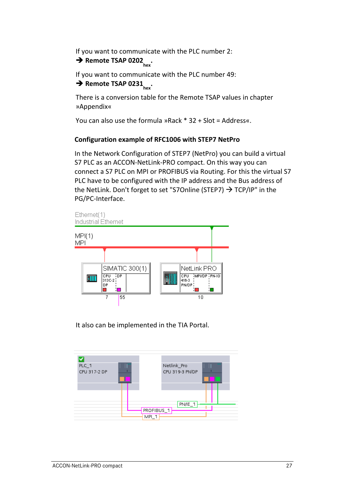If you want to communicate with the PLC number 2:

# $\overrightarrow{P}$  Remote TSAP 0202<sub>hov</sub>.

If you want to communicate with the PLC number 49:  $\rightarrow$  Remote TSAP 0231<sub>hex</sub>.

There is a conversion table for the Remote TSAP values in chapter »Appendix«

You can also use the formula »Rack \* 32 + Slot = Address«.

# **Configuration example of RFC1006 with STEP7 NetPro**

In the Network Configuration of STEP7 (NetPro) you can build a virtual S7 PLC as an ACCON-NetLink-PRO compact. On this way you can connect a S7 PLC on MPI or PROFIBUS via Routing. For this the virtual S7 PLC have to be configured with the IP address and the Bus address of the NetLink. Don't forget to set "S7Online (STEP7)  $\rightarrow$  TCP/IP" in the PG/PC-Interface.



It also can be implemented in the TIA Portal.

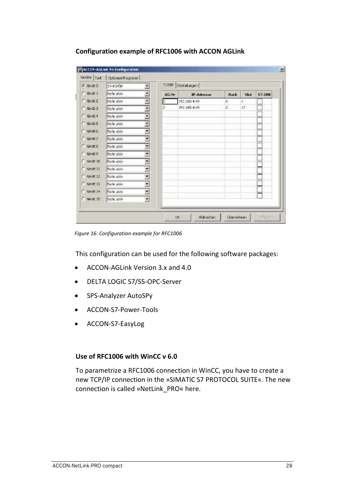## **Configuration example of RFC1006 with ACCON AGLink**

| Corato Test       | <b>Optionen Programm</b> |    |       |                      |       |      |        |
|-------------------|--------------------------|----|-------|----------------------|-------|------|--------|
| $G$ Gera $0$      | 57-TCF1P                 |    |       | TCP/ID Einstellungen |       |      |        |
| $C$ Go( $\geq 1$  | micht akty               |    | AG No | IP-Advenue           | Rack. | Slok | 57-260 |
| $\bigcap$ Gerat 2 | Nicht akte               | w, | þ.    | 192.365.4.49         | o     |      |        |
| Gerat 3           | micht aktry              | ٠  | æ     | 192.168.4.49         | 2.    | 17.  |        |
| $C$ Gord $A$      | Nicht aktiv              | Ŧ. |       |                      |       |      |        |
| <b>Ciserato</b>   | Nicht aktiv              |    |       |                      |       |      |        |
| <b>DiGerat 6</b>  | Nicht aktre              | ż  |       |                      |       |      |        |
| <b>C-Genet 7</b>  | Nicht ekty               | ٠  |       |                      |       |      |        |
| Geration          | Nicht aktiv              | ₫  |       |                      |       |      |        |
| Geratty           | Nicht aktiv              | ۳  |       |                      |       |      |        |
| Gene 10           | Weite akty               | z  |       |                      |       |      |        |
| $-$ Gays: $11$    | Nicht aktre              | Ξ  |       |                      |       |      |        |
| C Geost 12        | Nicht aktiv              | ř  |       |                      |       |      |        |
| Gerat 11          | Nicht aktiv              | Ξ  |       |                      |       |      |        |
| Cleve 14          | Nicht akty               |    |       |                      |       |      |        |
| Gerat 15          | miche aktiv              | E. |       |                      |       |      |        |

*Figure 16: Configuration example for RFC1006*

This configuration can be used for the following software packages:

- ACCON-AGLink Version 3.x and 4.0
- DELTA LOGIC S7/S5-OPC-Server
- SPS-Analyzer AutoSPy
- ACCON-S7-Power-Tools
- ACCON-S7-EasyLog

#### **Use of RFC1006 with WinCC v 6.0**

To parametrize a RFC1006 connection in WinCC, you have to create a new TCP/IP connection in the »SIMATIC S7 PROTOCOL SUITE«. The new connection is called »NetLink\_PRO« here.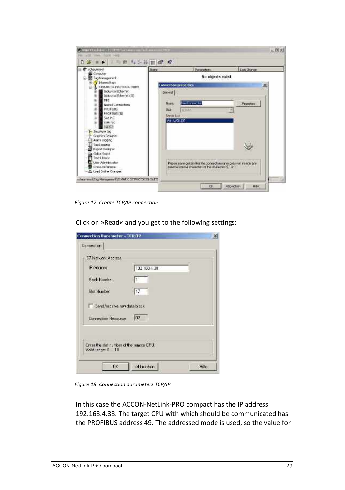| C: scheummol                                                     | Nore                         | Putamaters                                                          | Last Change |
|------------------------------------------------------------------|------------------------------|---------------------------------------------------------------------|-------------|
| <b>Bi</b> Conauter<br>E Tag Nanagement                           |                              | No objects exist                                                    |             |
| <b>M</b> IslamsIbage<br>田<br><b>L</b> NEWATEC N7.990/TOOGL NATTE | <b>Connection properties</b> |                                                                     |             |
| <b>Industrial Echemet</b>                                        | Grantral                     |                                                                     |             |
| Industrial Ethernet (II)<br>MEIT.                                |                              |                                                                     |             |
| Named Consections<br><b>FRICATRUS</b>                            | Noire:                       | <b>SWATERING</b>                                                    | Peanetes    |
| ш<br><b>PROFIBUS CITI</b>                                        | Urat<br>Server List          | 石灰泥片                                                                |             |
| 甫<br>Slot PLC<br>$\overline{\mathbf{u}}$<br>Seft FLC             | <b>MINORDE</b>               |                                                                     |             |
| tosm                                                             |                              |                                                                     |             |
| <b>E.</b> Southure that<br>· Graphics Designer                   |                              |                                                                     |             |
| Drivers in Half-                                                 |                              |                                                                     |             |
| TagLooping<br>Tapat Designe                                      |                              |                                                                     |             |
| Global Solat                                                     |                              |                                                                     |             |
| TextLorey<br>æ<br>User Administrator                             |                              | Rease inske ceitain that the connection report does not include any |             |
| Cross-Reference                                                  |                              | tutorial special characters or the characters 5.1 or 1              |             |

*Figure 17: Create TCP/IP connection*

Click on »Read« and you get to the following settings:

| <b>Connection Parameter - TCP/IP</b>     |             | ×    |
|------------------------------------------|-------------|------|
| <b>Connection</b>                        |             |      |
| 57 Network Address                       |             |      |
| IP Address:                              | 192169.4.38 |      |
| Back Number:                             |             |      |
| <b>Slot Number</b>                       | 17          |      |
| Send/receive raw data block              |             |      |
| Cornection Resource:                     | laz         |      |
| Enter the slat number of the remote CPU. |             |      |
| Vald range: 0 10                         |             |      |
| OK.                                      | Abbechen    | Hile |

*Figure 18: Connection parameters TCP/IP*

In this case the ACCON-NetLink-PRO compact has the IP address 192.168.4.38. The target CPU with which should be communicated has the PROFIBUS address 49. The addressed mode is used, so the value for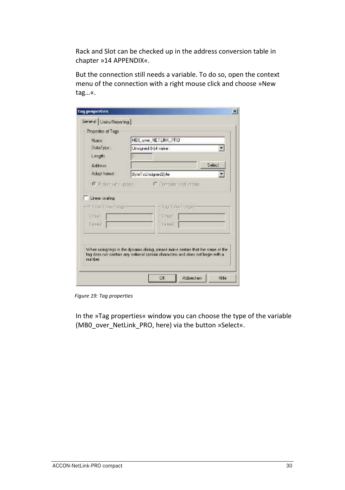Rack and Slot can be checked up in the address conversion table in chapter [»14](#page-54-0) [APPENDIX«](#page-54-0).

But the connection still needs a variable. To do so, open the context menu of the connection with a right mouse click and choose »New tag…«.

| Properties of Tags<br>Name                | MB8_over_NETLINK_PRD                                                                                                                                              |
|-------------------------------------------|-------------------------------------------------------------------------------------------------------------------------------------------------------------------|
| DataType:                                 | Unsigned 8-bit value -                                                                                                                                            |
| Length                                    |                                                                                                                                                                   |
| Address                                   | Select                                                                                                                                                            |
| Adapt formal                              | ByleToUnsignedBpte                                                                                                                                                |
| <b>P Prijet all pro-</b>                  | C. Tom uterlead inside                                                                                                                                            |
| r Kymas Visse Freger<br>Visuas.<br>Vessel | Tra Vink Europe<br>Veus 1<br>yaus2                                                                                                                                |
|                                           | When using togs in the dynamic cloicq, please make certain that the name of the<br>tag does not contain any obligable people characters and does not begin with a |

*Figure 19: Tag properties*

In the »Tag properties« window you can choose the type of the variable (MB0\_over\_NetLink\_PRO, here) via the button »Select«.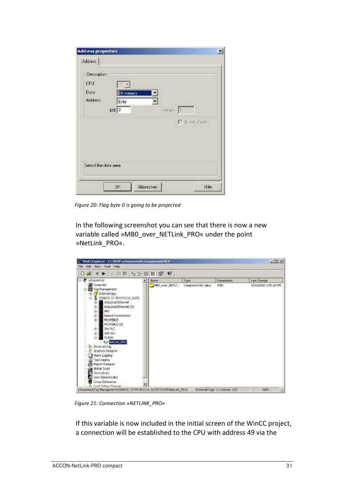| Address      | <b>Address properties</b> |        |                |  |
|--------------|---------------------------|--------|----------------|--|
| Decembers    |                           |        |                |  |
| CPU.<br>Data |                           |        |                |  |
| Address      | <b>Et memory</b><br>Byte  |        |                |  |
|              | ма о                      | Length |                |  |
|              |                           |        | E (Cint) Core) |  |
|              |                           |        |                |  |
|              |                           |        |                |  |
|              |                           |        |                |  |
|              |                           |        |                |  |
|              | Select the data area.     |        |                |  |
|              |                           |        |                |  |

*Figure 20: Flag byte 0 is going to be projected*

In the following screenshot you can see that there is now a new variable called »MB0\_over\_NETLink\_PRO« under the point »NetLink\_PRO«.



*Figure 21: Connection »NETLINK\_PRO«*

If this variable is now included in the initial screen of the WinCC project, a connection will be established to the CPU with address 49 via the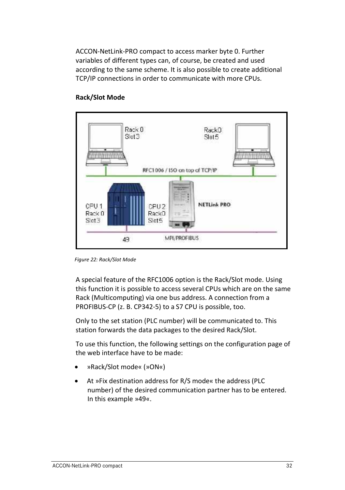ACCON-NetLink-PRO compact to access marker byte 0. Further variables of different types can, of course, be created and used according to the same scheme. It is also possible to create additional TCP/IP connections in order to communicate with more CPUs.



## **Rack/Slot Mode**

*Figure 22: Rack/Slot Mode*

A special feature of the RFC1006 option is the Rack/Slot mode. Using this function it is possible to access several CPUs which are on the same Rack (Multicomputing) via one bus address. A connection from a PROFIBUS-CP (z. B. CP342-5) to a S7 CPU is possible, too.

Only to the set station (PLC number) will be communicated to. This station forwards the data packages to the desired Rack/Slot.

To use this function, the following settings on the configuration page of the web interface have to be made:

- »Rack/Slot mode« (»ON«)
- At »Fix destination address for R/S mode« the address (PLC number) of the desired communication partner has to be entered. In this example »49«.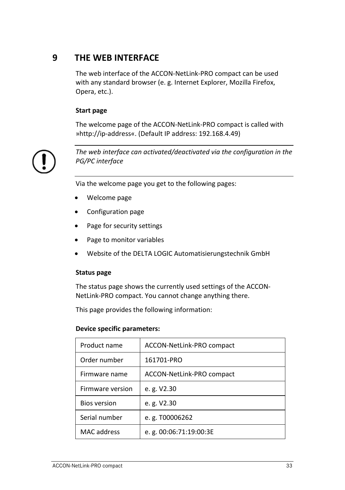# <span id="page-33-0"></span>**9 THE WEB INTERFACE**

The web interface of the ACCON-NetLink-PRO compact can be used with any standard browser (e. g. Internet Explorer, Mozilla Firefox, Opera, etc.).

# **Start page**

The welcome page of the ACCON-NetLink-PRO compact is called with »http://ip-address«. (Default IP address: 192.168.4.49)



*The web interface can activated/deactivated via the configuration in the PG/PC interface*

Via the welcome page you get to the following pages:

- Welcome page
- Configuration page
- Page for security settings
- Page to monitor variables
- Website of the DELTA LOGIC Automatisierungstechnik GmbH

#### **Status page**

The status page shows the currently used settings of the ACCON-NetLink-PRO compact. You cannot change anything there.

This page provides the following information:

#### **Device specific parameters:**

| Product name        | ACCON-NetLink-PRO compact |
|---------------------|---------------------------|
| Order number        | 161701-PRO                |
| Firmware name       | ACCON-NetLink-PRO compact |
| Firmware version    | e. g. V2.30               |
| <b>Bios version</b> | e. g. V2.30               |
| Serial number       | e. g. T00006262           |
| MAC address         | e.g. 00:06:71:19:00:3E    |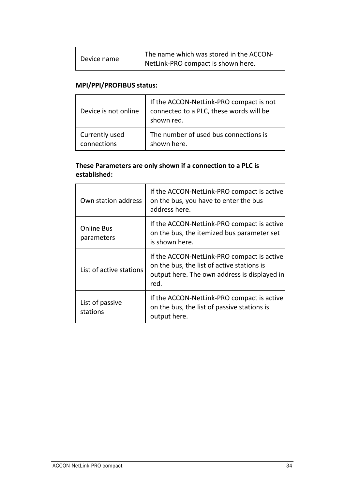| Device name | The name which was stored in the ACCON-<br>NetLink-PRO compact is shown here. |
|-------------|-------------------------------------------------------------------------------|
|-------------|-------------------------------------------------------------------------------|

# **MPI/PPI/PROFIBUS status:**

| Device is not online | If the ACCON-NetLink-PRO compact is not<br>connected to a PLC, these words will be<br>shown red. |
|----------------------|--------------------------------------------------------------------------------------------------|
| Currently used       | The number of used bus connections is                                                            |
| connections          | shown here.                                                                                      |

# **These Parameters are only shown if a connection to a PLC is established:**

| Own station address         | If the ACCON-NetLink-PRO compact is active<br>on the bus, you have to enter the bus<br>address here.                                             |
|-----------------------------|--------------------------------------------------------------------------------------------------------------------------------------------------|
| Online Bus<br>parameters    | If the ACCON-NetLink-PRO compact is active<br>on the bus, the itemized bus parameter set<br>is shown here.                                       |
| List of active stations     | If the ACCON-NetLink-PRO compact is active<br>on the bus, the list of active stations is<br>output here. The own address is displayed in<br>red. |
| List of passive<br>stations | If the ACCON-NetLink-PRO compact is active<br>on the bus, the list of passive stations is<br>output here.                                        |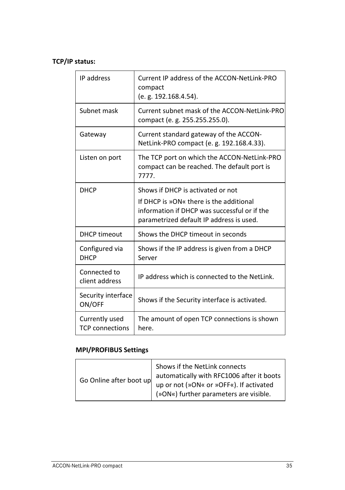# **TCP/IP status:**

| IP address                               | Current IP address of the ACCON-NetLink-PRO<br>compact<br>(e. g. 192.168.4.54).                                                                                          |
|------------------------------------------|--------------------------------------------------------------------------------------------------------------------------------------------------------------------------|
| Subnet mask                              | Current subnet mask of the ACCON-NetLink-PRO<br>compact (e. g. 255.255.255.0).                                                                                           |
| Gateway                                  | Current standard gateway of the ACCON-<br>NetLink-PRO compact (e. g. 192.168.4.33).                                                                                      |
| Listen on port                           | The TCP port on which the ACCON-NetLink-PRO<br>compact can be reached. The default port is<br>7777.                                                                      |
| <b>DHCP</b>                              | Shows if DHCP is activated or not<br>If DHCP is »ON« there is the additional<br>information if DHCP was successful or if the<br>parametrized default IP address is used. |
| <b>DHCP</b> timeout                      | Shows the DHCP timeout in seconds                                                                                                                                        |
| Configured via<br><b>DHCP</b>            | Shows if the IP address is given from a DHCP<br>Server                                                                                                                   |
| Connected to<br>client address           | IP address which is connected to the NetLink.                                                                                                                            |
| Security interface<br>ON/OFF             | Shows if the Security interface is activated.                                                                                                                            |
| Currently used<br><b>TCP</b> connections | The amount of open TCP connections is shown<br>here.                                                                                                                     |

# **MPI/PROFIBUS Settings**

| Go Online after boot up | Shows if the NetLink connects<br>automatically with RFC1006 after it boots          |
|-------------------------|-------------------------------------------------------------------------------------|
|                         | up or not (»ON« or »OFF«). If activated<br>  (»ON«) further parameters are visible. |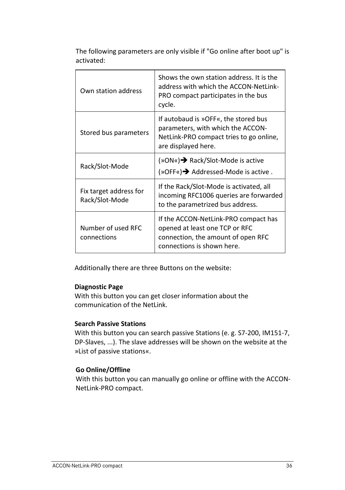| Own station address                      | Shows the own station address. It is the<br>address with which the ACCON-NetLink-<br>PRO compact participates in the bus<br>cycle.          |
|------------------------------------------|---------------------------------------------------------------------------------------------------------------------------------------------|
| Stored bus parameters                    | If autobaud is »OFF«, the stored bus<br>parameters, with which the ACCON-<br>NetLink-PRO compact tries to go online,<br>are displayed here. |
| Rack/Slot-Mode                           | (»ON«)→ Rack/Slot-Mode is active<br>$(\sqrt{Q} \cdot \sqrt{Q})$ Addressed-Mode is active.                                                   |
| Fix target address for<br>Rack/Slot-Mode | If the Rack/Slot-Mode is activated, all<br>incoming RFC1006 queries are forwarded<br>to the parametrized bus address.                       |
| Number of used RFC<br>connections        | If the ACCON-NetLink-PRO compact has<br>opened at least one TCP or RFC<br>connection, the amount of open RFC<br>connections is shown here.  |

The following parameters are only visible if "Go online after boot up" is activated:

Additionally there are three Buttons on the website:

# **Diagnostic Page**

With this button you can get closer information about the communication of the NetLink.

# **Search Passive Stations**

With this button you can search passive Stations (e. g. S7-200, IM151-7, DP-Slaves, ...). The slave addresses will be shown on the website at the »List of passive stations«.

# **Go Online/Offline**

With this button you can manually go online or offline with the ACCON-NetLink-PRO compact.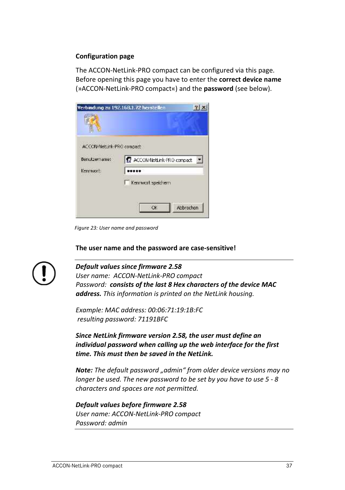#### **Configuration page**

The ACCON-NetLink-PRO compact can be configured via this page. Before opening this page you have to enter the **correct device name** (»ACCON-NetLink-PRO compact«) and the **password** (see below).

|                          | Verbindung zu 192.168.1.72 herstellen. |           |
|--------------------------|----------------------------------------|-----------|
|                          |                                        |           |
|                          |                                        |           |
| ACCON-Nedurk-PRG compact |                                        |           |
| Benutzername:            | R ACCON-NetLink-PRO compact            | 医         |
| Kennwort:                |                                        |           |
|                          | Kennwort speichern                     |           |
|                          |                                        |           |
|                          | CK.                                    | Abbrechen |
|                          |                                        |           |

*Figure 23: User name and password*

**The user name and the password are case-sensitive!**



## *Default values since firmware 2.58*

*User name: ACCON-NetLink-PRO compact Password: consists of the last 8 Hex characters of the device MAC address. This information is printed on the NetLink housing.* 

*Example: MAC address: 00:06:71:19:1B:FC resulting password: 71191BFC*

*Since NetLink firmware version 2.58, the user must define an individual password when calling up the web interface for the first time. This must then be saved in the NetLink.*

*Note: The default password "admin" from older device versions may no longer be used. The new password to be set by you have to use 5 - 8 characters and spaces are not permitted.*

*Default values before firmware 2.58 User name: ACCON-NetLink-PRO compact Password: admin*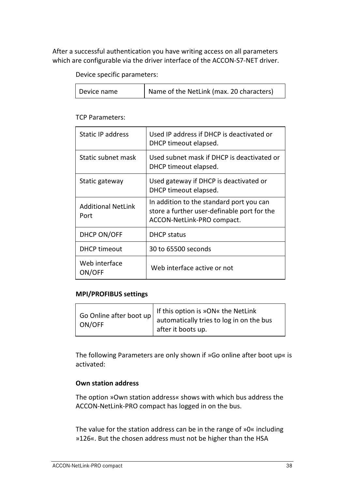After a successful authentication you have writing access on all parameters which are configurable via the driver interface of the ACCON-S7-NET driver.

Device specific parameters:

| Device name | Name of the NetLink (max. 20 characters) |
|-------------|------------------------------------------|
|-------------|------------------------------------------|

TCP Parameters:

| Static IP address                 | Used IP address if DHCP is deactivated or<br>DHCP timeout elapsed.                                                    |
|-----------------------------------|-----------------------------------------------------------------------------------------------------------------------|
| Static subnet mask                | Used subnet mask if DHCP is deactivated or<br>DHCP timeout elapsed.                                                   |
| Static gateway                    | Used gateway if DHCP is deactivated or<br>DHCP timeout elapsed.                                                       |
| <b>Additional NetLink</b><br>Port | In addition to the standard port you can<br>store a further user-definable port for the<br>ACCON-NetLink-PRO compact. |
| DHCP ON/OFF                       | <b>DHCP</b> status                                                                                                    |
| <b>DHCP</b> timeout               | 30 to 65500 seconds                                                                                                   |
| Web interface<br>ON/OFF           | Web interface active or not                                                                                           |

## **MPI/PROFIBUS settings**

| ON/OFF | If this option is »ON« the NetLink<br>Go Online after boot $up \mid$ automatically tries to log in on the bus<br>after it boots up. |
|--------|-------------------------------------------------------------------------------------------------------------------------------------|
|--------|-------------------------------------------------------------------------------------------------------------------------------------|

The following Parameters are only shown if »Go online after boot up« is activated:

#### **Own station address**

The option »Own station address« shows with which bus address the ACCON-NetLink-PRO compact has logged in on the bus.

The value for the station address can be in the range of »0« including »126«. But the chosen address must not be higher than the HSA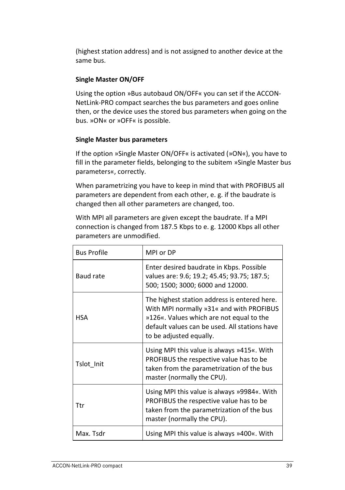(highest station address) and is not assigned to another device at the same bus.

# **Single Master ON/OFF**

Using the option »Bus autobaud ON/OFF« you can set if the ACCON-NetLink-PRO compact searches the bus parameters and goes online then, or the device uses the stored bus parameters when going on the bus. »ON« or »OFF« is possible.

# **Single Master bus parameters**

If the option »Single Master ON/OFF« is activated (»ON«), you have to fill in the parameter fields, belonging to the subitem »Single Master bus parameters«, correctly.

When parametrizing you have to keep in mind that with PROFIBUS all parameters are dependent from each other, e. g. if the baudrate is changed then all other parameters are changed, too.

With MPI all parameters are given except the baudrate. If a MPI connection is changed from 187.5 Kbps to e. g. 12000 Kbps all other parameters are unmodified.

| <b>Bus Profile</b> | MPI or DP                                                                                                                                                                                                        |
|--------------------|------------------------------------------------------------------------------------------------------------------------------------------------------------------------------------------------------------------|
| Baud rate          | Enter desired baudrate in Kbps. Possible<br>values are: 9.6; 19.2; 45.45; 93.75; 187.5;<br>500; 1500; 3000; 6000 and 12000.                                                                                      |
| <b>HSA</b>         | The highest station address is entered here.<br>With MPI normally »31« and with PROFIBUS<br>»126«. Values which are not equal to the<br>default values can be used. All stations have<br>to be adjusted equally. |
| Tslot Init         | Using MPI this value is always »415«. With<br>PROFIBUS the respective value has to be<br>taken from the parametrization of the bus<br>master (normally the CPU).                                                 |
| Ttr                | Using MPI this value is always »9984«. With<br>PROFIBUS the respective value has to be<br>taken from the parametrization of the bus<br>master (normally the CPU).                                                |
| Max. Tsdr          | Using MPI this value is always »400«. With                                                                                                                                                                       |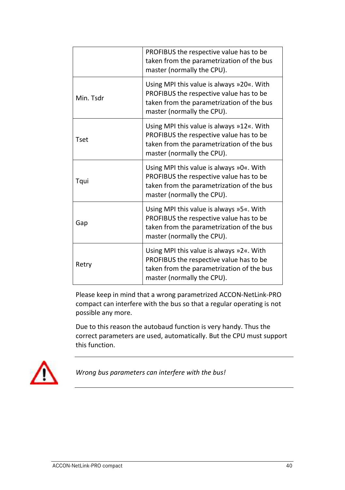|           | PROFIBUS the respective value has to be<br>taken from the parametrization of the bus<br>master (normally the CPU).                                              |
|-----------|-----------------------------------------------------------------------------------------------------------------------------------------------------------------|
| Min. Tsdr | Using MPI this value is always »20«. With<br>PROFIBUS the respective value has to be<br>taken from the parametrization of the bus<br>master (normally the CPU). |
| Tset      | Using MPI this value is always »12«. With<br>PROFIBUS the respective value has to be<br>taken from the parametrization of the bus<br>master (normally the CPU). |
| Tqui      | Using MPI this value is always »0«. With<br>PROFIBUS the respective value has to be<br>taken from the parametrization of the bus<br>master (normally the CPU).  |
| Gap       | Using MPI this value is always »5«. With<br>PROFIBUS the respective value has to be<br>taken from the parametrization of the bus<br>master (normally the CPU).  |
| Retry     | Using MPI this value is always »2«. With<br>PROFIBUS the respective value has to be<br>taken from the parametrization of the bus<br>master (normally the CPU).  |

Please keep in mind that a wrong parametrized ACCON-NetLink-PRO compact can interfere with the bus so that a regular operating is not possible any more.

Due to this reason the autobaud function is very handy. Thus the correct parameters are used, automatically. But the CPU must support this function.



*Wrong bus parameters can interfere with the bus!*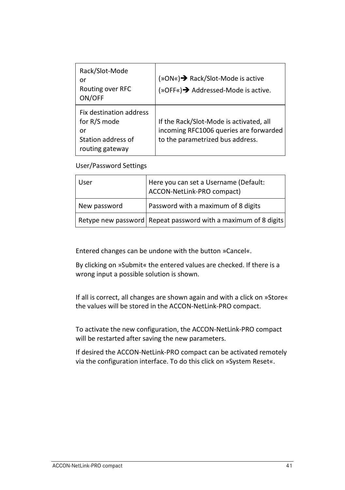| Rack/Slot-Mode<br>or<br>Routing over RFC<br>ON/OFF                                     | (»ON«)→ Rack/Slot-Mode is active<br>(»OFF«)→ Addressed-Mode is active.                                                |
|----------------------------------------------------------------------------------------|-----------------------------------------------------------------------------------------------------------------------|
| Fix destination address<br>for R/S mode<br>or<br>Station address of<br>routing gateway | If the Rack/Slot-Mode is activated, all<br>incoming RFC1006 queries are forwarded<br>to the parametrized bus address. |

User/Password Settings

| User         | Here you can set a Username (Default:<br>ACCON-NetLink-PRO compact) |
|--------------|---------------------------------------------------------------------|
| New password | Password with a maximum of 8 digits                                 |
|              | Retype new password Repeat password with a maximum of 8 digits      |

Entered changes can be undone with the button »Cancel«.

By clicking on »Submit« the entered values are checked. If there is a wrong input a possible solution is shown.

If all is correct, all changes are shown again and with a click on »Store« the values will be stored in the ACCON-NetLink-PRO compact.

To activate the new configuration, the ACCON-NetLink-PRO compact will be restarted after saving the new parameters.

If desired the ACCON-NetLink-PRO compact can be activated remotely via the configuration interface. To do this click on »System Reset«.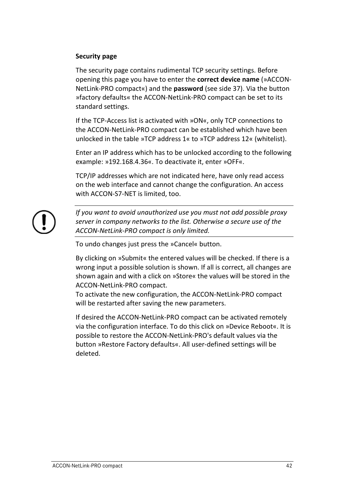## **Security page**

The security page contains rudimental TCP security settings. Before opening this page you have to enter the **correct device name** (»ACCON-NetLink-PRO compact«) and the **password** (see side 37). Via the button »factory defaults« the ACCON-NetLink-PRO compact can be set to its standard settings.

If the TCP-Access list is activated with »ON«, only TCP connections to the ACCON-NetLink-PRO compact can be established which have been unlocked in the table »TCP address 1« to »TCP address 12« (whitelist).

Enter an IP address which has to be unlocked according to the following example: »192.168.4.36«. To deactivate it, enter »OFF«.

TCP/IP addresses which are not indicated here, have only read access on the web interface and cannot change the configuration. An access with ACCON-S7-NET is limited, too.



*If you want to avoid unauthorized use you must not add possible proxy server in company networks to the list. Otherwise a secure use of the ACCON-NetLink-PRO compact is only limited.*

To undo changes just press the »Cancel« button.

By clicking on »Submit« the entered values will be checked. If there is a wrong input a possible solution is shown. If all is correct, all changes are shown again and with a click on »Store« the values will be stored in the ACCON-NetLink-PRO compact.

To activate the new configuration, the ACCON-NetLink-PRO compact will be restarted after saving the new parameters.

If desired the ACCON-NetLink-PRO compact can be activated remotely via the configuration interface. To do this click on »Device Reboot«. It is possible to restore the ACCON-NetLink-PRO's default values via the button »Restore Factory defaults«. All user-defined settings will be deleted.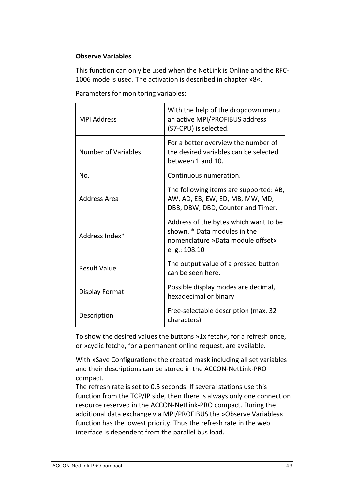# **Observe Variables**

This function can only be used when the NetLink is Online and the RFC-1006 mode is used. The activation is described in chapter [»8«](#page-25-0).

| <b>MPI Address</b>  | With the help of the dropdown menu<br>an active MPI/PROFIBUS address<br>(S7-CPU) is selected.                                 |
|---------------------|-------------------------------------------------------------------------------------------------------------------------------|
| Number of Variables | For a better overview the number of<br>the desired variables can be selected<br>between 1 and 10.                             |
| No.                 | Continuous numeration.                                                                                                        |
| Address Area        | The following items are supported: AB,<br>AW, AD, EB, EW, ED, MB, MW, MD,<br>DBB, DBW, DBD, Counter and Timer.                |
| Address Index*      | Address of the bytes which want to be<br>shown. * Data modules in the<br>nomenclature »Data module offset«<br>e. g.: $108.10$ |
| <b>Result Value</b> | The output value of a pressed button<br>can be seen here.                                                                     |
| Display Format      | Possible display modes are decimal,<br>hexadecimal or binary                                                                  |
| Description         | Free-selectable description (max. 32<br>characters)                                                                           |

To show the desired values the buttons »1x fetch«, for a refresh once, or »cyclic fetch«, for a permanent online request, are available.

With »Save Configuration« the created mask including all set variables and their descriptions can be stored in the ACCON-NetLink-PRO compact.

The refresh rate is set to 0.5 seconds. If several stations use this function from the TCP/IP side, then there is always only one connection resource reserved in the ACCON-NetLink-PRO compact. During the additional data exchange via MPI/PROFIBUS the »Observe Variables« function has the lowest priority. Thus the refresh rate in the web interface is dependent from the parallel bus load.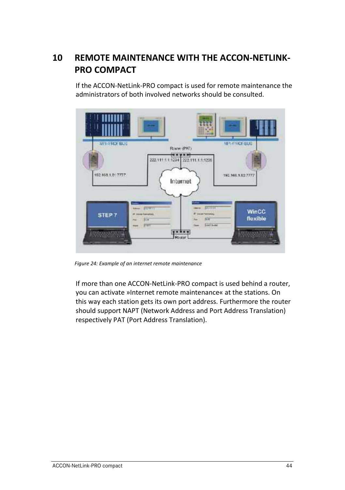# <span id="page-44-0"></span>**10 REMOTE MAINTENANCE WITH THE ACCON-NETLINK-PRO COMPACT**

If the ACCON-NetLink-PRO compact is used for remote maintenance the administrators of both involved networks should be consulted.



*Figure 24: Example of an internet remote maintenance*

If more than one ACCON-NetLink-PRO compact is used behind a router, you can activate »Internet remote maintenance« at the stations. On this way each station gets its own port address. Furthermore the router should support NAPT (Network Address and Port Address Translation) respectively PAT (Port Address Translation).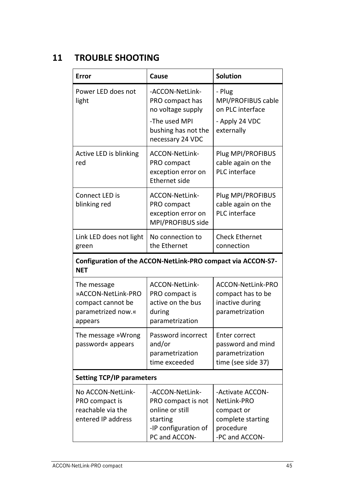# <span id="page-45-0"></span>**11 TROUBLE SHOOTING**

| Error                                                                                   | Cause                                                                                                               | <b>Solution</b>                                                                                   |  |  |
|-----------------------------------------------------------------------------------------|---------------------------------------------------------------------------------------------------------------------|---------------------------------------------------------------------------------------------------|--|--|
| Power LED does not<br>light                                                             | -ACCON-NetLink-<br>PRO compact has<br>no voltage supply<br>-The used MPI<br>bushing has not the<br>necessary 24 VDC | - Plug<br>MPI/PROFIBUS cable<br>on PLC interface<br>- Apply 24 VDC<br>externally                  |  |  |
| Active LED is blinking<br>red                                                           | ACCON-NetLink-<br>PRO compact<br>exception error on<br><b>Ethernet side</b>                                         | Plug MPI/PROFIBUS<br>cable again on the<br>PLC interface                                          |  |  |
| Connect LED is<br>blinking red                                                          | ACCON-NetLink-<br>PRO compact<br>exception error on<br>MPI/PROFIBUS side                                            | Plug MPI/PROFIBUS<br>cable again on the<br>PLC interface                                          |  |  |
| Link LED does not light<br>green                                                        | No connection to<br>the Ethernet                                                                                    | <b>Check Ethernet</b><br>connection                                                               |  |  |
| Configuration of the ACCON-NetLink-PRO compact via ACCON-S7-<br><b>NET</b>              |                                                                                                                     |                                                                                                   |  |  |
| The message<br>»ACCON-NetLink-PRO<br>compact cannot be<br>parametrized now.«<br>appears | ACCON-NetLink-<br>PRO compact is<br>active on the bus<br>during<br>parametrization                                  | ACCON-NetLink-PRO<br>compact has to be<br>inactive during<br>parametrization                      |  |  |
| The message »Wrong<br>password« appears                                                 | Password incorrect<br>and/or<br>parametrization<br>time exceeded                                                    | Enter correct<br>password and mind<br>parametrization<br>time (see side 37)                       |  |  |
| <b>Setting TCP/IP parameters</b>                                                        |                                                                                                                     |                                                                                                   |  |  |
| No ACCON-NetLink-<br>PRO compact is<br>reachable via the<br>entered IP address          | -ACCON-NetLink-<br>PRO compact is not<br>online or still<br>starting<br>-IP configuration of<br>PC and ACCON-       | -Activate ACCON-<br>NetLink-PRO<br>compact or<br>complete starting<br>procedure<br>-PC and ACCON- |  |  |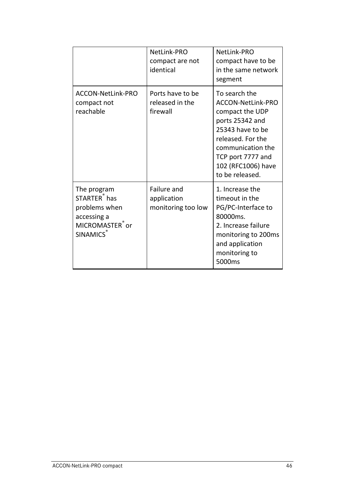|                                                                                                                           | NetLink-PRO<br>compact are not<br>identical      | NetLink-PRO<br>compact have to be<br>in the same network<br>segment                                                                                                                                  |
|---------------------------------------------------------------------------------------------------------------------------|--------------------------------------------------|------------------------------------------------------------------------------------------------------------------------------------------------------------------------------------------------------|
| ACCON-NetLink-PRO<br>compact not<br>reachable                                                                             | Ports have to be<br>released in the<br>firewall  | To search the<br>ACCON-NetLink-PRO<br>compact the UDP<br>ports 25342 and<br>25343 have to be<br>released. For the<br>communication the<br>TCP port 7777 and<br>102 (RFC1006) have<br>to be released. |
| The program<br>STARTER <sup>®</sup> has<br>problems when<br>accessing a<br>MICROMASTER <sup>®</sup> or<br><b>SINAMICS</b> | Failure and<br>application<br>monitoring too low | 1. Increase the<br>timeout in the<br>PG/PC-Interface to<br>80000ms.<br>2. Increase failure<br>monitoring to 200ms<br>and application<br>monitoring to<br>5000ms                                      |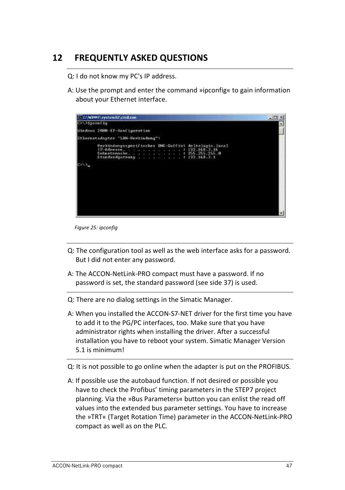# <span id="page-47-0"></span>**12 FREQUENTLY ASKED QUESTIONS**

Q: I do not know my PC's IP address.

A: Use the prompt and enter the command »ipconfig« to gain information about your Ethernet interface.



*Figure 25: ipconfig*

- Q: The configuration tool as well as the web interface asks for a password. But I did not enter any password.
- A: The ACCON-NetLink-PRO compact must have a password. If no password is set, the standard password (see side 37) is used.
- Q: There are no dialog settings in the Simatic Manager.
- A: When you installed the ACCON-S7-NET driver for the first time you have to add it to the PG/PC interfaces, too. Make sure that you have administrator rights when installing the driver. After a successful installation you have to reboot your system. Simatic Manager Version 5.1 is minimum!
- Q: It is not possible to go online when the adapter is put on the PROFIBUS.
- A: If possible use the autobaud function. If not desired or possible you have to check the Profibus' timing parameters in the STEP7 project planning. Via the »Bus Parameters« button you can enlist the read off values into the extended bus parameter settings. You have to increase the »TRT« (Target Rotation Time) parameter in the ACCON-NetLink-PRO compact as well as on the PLC.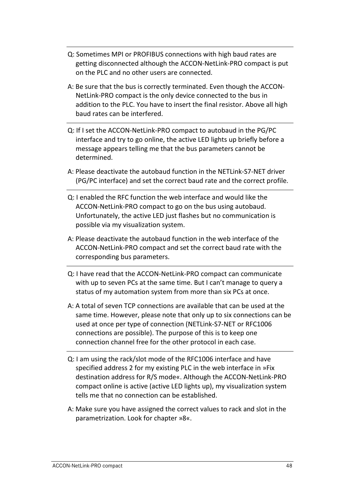- Q: Sometimes MPI or PROFIBUS connections with high baud rates are getting disconnected although the ACCON-NetLink-PRO compact is put on the PLC and no other users are connected.
- A: Be sure that the bus is correctly terminated. Even though the ACCON-NetLink-PRO compact is the only device connected to the bus in addition to the PLC. You have to insert the final resistor. Above all high baud rates can be interfered.
- Q: If I set the ACCON-NetLink-PRO compact to autobaud in the PG/PC interface and try to go online, the active LED lights up briefly before a message appears telling me that the bus parameters cannot be determined.
- A: Please deactivate the autobaud function in the NETLink-S7-NET driver (PG/PC interface) and set the correct baud rate and the correct profile.
- Q: I enabled the RFC function the web interface and would like the ACCON-NetLink-PRO compact to go on the bus using autobaud. Unfortunately, the active LED just flashes but no communication is possible via my visualization system.
- A: Please deactivate the autobaud function in the web interface of the ACCON-NetLink-PRO compact and set the correct baud rate with the corresponding bus parameters.
- Q: I have read that the ACCON-NetLink-PRO compact can communicate with up to seven PCs at the same time. But I can't manage to query a status of my automation system from more than six PCs at once.
- A: A total of seven TCP connections are available that can be used at the same time. However, please note that only up to six connections can be used at once per type of connection (NETLink-S7-NET or RFC1006 connections are possible). The purpose of this is to keep one connection channel free for the other protocol in each case.
- Q: I am using the rack/slot mode of the RFC1006 interface and have specified address 2 for my existing PLC in the web interface in »Fix destination address for R/S mode«. Although the ACCON-NetLink-PRO compact online is active (active LED lights up), my visualization system tells me that no connection can be established.
- A: Make sure you have assigned the correct values to rack and slot in the parametrization. Look for chapter [»8«](#page-25-0).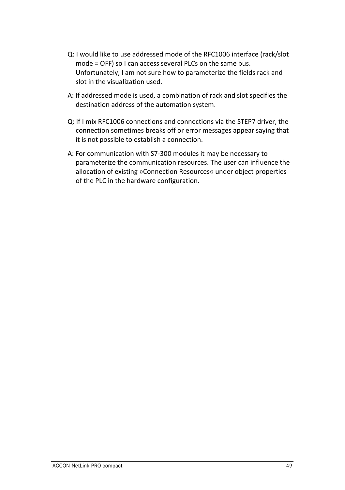- Q: I would like to use addressed mode of the RFC1006 interface (rack/slot mode = OFF) so I can access several PLCs on the same bus. Unfortunately, I am not sure how to parameterize the fields rack and slot in the visualization used.
- A: If addressed mode is used, a combination of rack and slot specifies the destination address of the automation system.
- Q: If I mix RFC1006 connections and connections via the STEP7 driver, the connection sometimes breaks off or error messages appear saying that it is not possible to establish a connection.
- A: For communication with S7-300 modules it may be necessary to parameterize the communication resources. The user can influence the allocation of existing »Connection Resources« under object properties of the PLC in the hardware configuration.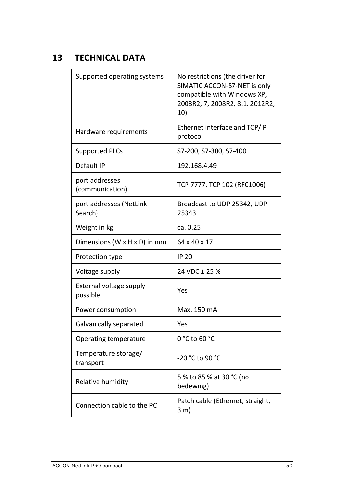# <span id="page-50-0"></span>**13 TECHNICAL DATA**

| Supported operating systems                | No restrictions (the driver for<br>SIMATIC ACCON-S7-NET is only<br>compatible with Windows XP,<br>2003R2, 7, 2008R2, 8.1, 2012R2,<br>10) |
|--------------------------------------------|------------------------------------------------------------------------------------------------------------------------------------------|
| Hardware requirements                      | Ethernet interface and TCP/IP<br>protocol                                                                                                |
| Supported PLCs                             | S7-200, S7-300, S7-400                                                                                                                   |
| Default IP                                 | 192.168.4.49                                                                                                                             |
| port addresses<br>(communication)          | TCP 7777, TCP 102 (RFC1006)                                                                                                              |
| port addresses (NetLink<br>Search)         | Broadcast to UDP 25342, UDP<br>25343                                                                                                     |
| Weight in kg                               | ca. 0.25                                                                                                                                 |
| Dimensions (W $\times$ H $\times$ D) in mm | 64 x 40 x 17                                                                                                                             |
| Protection type                            | <b>IP 20</b>                                                                                                                             |
| Voltage supply                             | 24 VDC ± 25 %                                                                                                                            |
| External voltage supply<br>possible        | Yes                                                                                                                                      |
| Power consumption                          | Max. 150 mA                                                                                                                              |
| Galvanically separated                     | Yes                                                                                                                                      |
| Operating temperature                      | $0 °C$ to 60 $°C$                                                                                                                        |
| Temperature storage/<br>transport          | -20 °C to 90 °C                                                                                                                          |
| Relative humidity                          | 5 % to 85 % at 30 °C (no<br>bedewing)                                                                                                    |
| Connection cable to the PC                 | Patch cable (Ethernet, straight,<br>$3 \text{ m}$                                                                                        |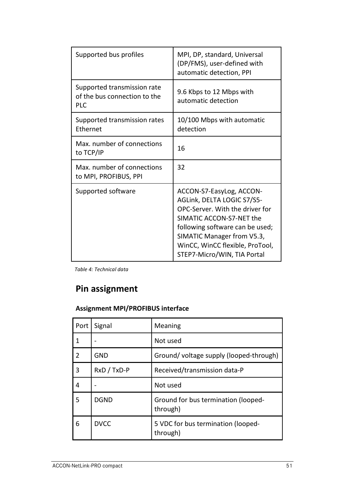| Supported bus profiles                                                    | MPI, DP, standard, Universal<br>(DP/FMS), user-defined with<br>automatic detection, PPI                                                                                                                                                                  |
|---------------------------------------------------------------------------|----------------------------------------------------------------------------------------------------------------------------------------------------------------------------------------------------------------------------------------------------------|
| Supported transmission rate<br>of the bus connection to the<br><b>PLC</b> | 9.6 Kbps to 12 Mbps with<br>automatic detection                                                                                                                                                                                                          |
| Supported transmission rates<br>Ethernet                                  | 10/100 Mbps with automatic<br>detection                                                                                                                                                                                                                  |
| Max, number of connections<br>to TCP/IP                                   | 16                                                                                                                                                                                                                                                       |
| Max, number of connections<br>to MPI, PROFIBUS, PPI                       | 32                                                                                                                                                                                                                                                       |
| Supported software                                                        | ACCON-S7-EasyLog, ACCON-<br>AGLink, DELTA LOGIC S7/S5-<br>OPC-Server. With the driver for<br>SIMATIC ACCON-S7-NET the<br>following software can be used;<br>SIMATIC Manager from V5.3,<br>WinCC, WinCC flexible, ProTool,<br>STEP7-Micro/WIN, TIA Portal |

*Table 4: Technical data*

# **Pin assignment**

# **Assignment MPI/PROFIBUS interface**

| Port | Signal      | Meaning                                         |
|------|-------------|-------------------------------------------------|
| 1    | ٠           | Not used                                        |
| 2    | GND         | Ground/voltage supply (looped-through)          |
| 3    | RxD / TxD-P | Received/transmission data-P                    |
| 4    |             | Not used                                        |
| 5    | <b>DGND</b> | Ground for bus termination (looped-<br>through) |
| 6    | <b>DVCC</b> | 5 VDC for bus termination (looped-<br>through)  |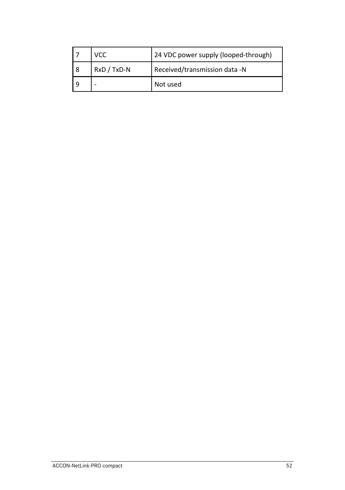|   | VCC         | 24 VDC power supply (looped-through) |
|---|-------------|--------------------------------------|
| 8 | RxD / TxD-N | Received/transmission data -N        |
|   |             | Not used                             |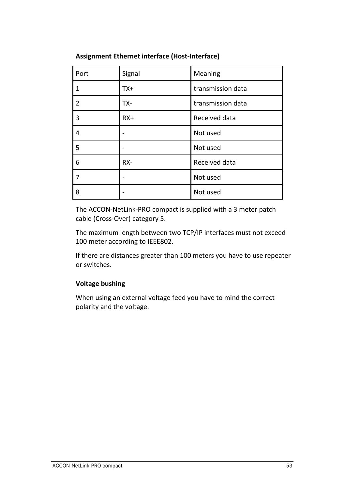| Port | Signal | Meaning           |  |  |
|------|--------|-------------------|--|--|
| 1    | $TX+$  | transmission data |  |  |
| 2    | TX-    | transmission data |  |  |
| 3    | $RX+$  | Received data     |  |  |
| 4    |        | Not used          |  |  |
| 5    | ۰      | Not used          |  |  |
| 6    | RX-    | Received data     |  |  |
| 7    |        | Not used          |  |  |
| 8    |        | Not used          |  |  |

**Assignment Ethernet interface (Host-Interface)**

The ACCON-NetLink-PRO compact is supplied with a 3 meter patch cable (Cross-Over) category 5.

The maximum length between two TCP/IP interfaces must not exceed 100 meter according to IEEE802.

If there are distances greater than 100 meters you have to use repeater or switches.

# **Voltage bushing**

When using an external voltage feed you have to mind the correct polarity and the voltage.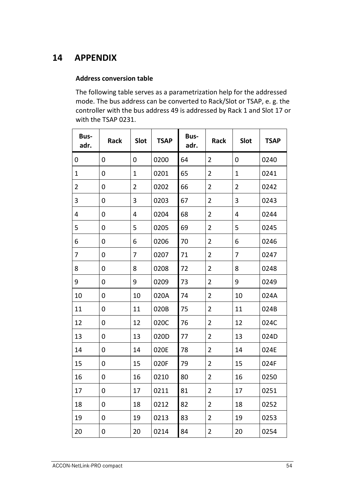# <span id="page-54-0"></span>**APPENDIX**

## **Address conversion table**

The following table serves as a parametrization help for the addressed mode. The bus address can be converted to Rack/Slot or TSAP, e. g. the controller with the bus address 49 is addressed by Rack 1 and Slot 17 or with the TSAP 0231.

| Bus-<br>adr. | Rack | Slot           | <b>TSAP</b> | Bus-<br>adr. | Rack           | Slot           | <b>TSAP</b> |
|--------------|------|----------------|-------------|--------------|----------------|----------------|-------------|
| 0            | 0    | 0              | 0200        | 64           | 2              | 0              | 0240        |
| $\mathbf{1}$ | 0    | 1              | 0201        | 65           | $\overline{2}$ | 1              | 0241        |
| 2            | 0    | $\overline{2}$ | 0202        | 66           | 2              | 2              | 0242        |
| 3            | 0    | 3              | 0203        | 67           | 2              | 3              | 0243        |
| 4            | 0    | 4              | 0204        | 68           | 2              | $\overline{4}$ | 0244        |
| 5            | 0    | 5              | 0205        | 69           | $\overline{2}$ | 5              | 0245        |
| 6            | 0    | 6              | 0206        | 70           | $\overline{2}$ | 6              | 0246        |
| 7            | 0    | 7              | 0207        | 71           | 2              | 7              | 0247        |
| 8            | 0    | 8              | 0208        | 72           | $\overline{2}$ | 8              | 0248        |
| 9            | 0    | 9              | 0209        | 73           | 2              | 9              | 0249        |
| 10           | 0    | 10             | 020A        | 74           | 2              | 10             | 024A        |
| 11           | 0    | 11             | 020B        | 75           | $\overline{2}$ | 11             | 024B        |
| 12           | 0    | 12             | 020C        | 76           | 2              | 12             | 024C        |
| 13           | 0    | 13             | 020D        | 77           | $\overline{2}$ | 13             | 024D        |
| 14           | 0    | 14             | 020E        | 78           | $\overline{2}$ | 14             | 024E        |
| 15           | 0    | 15             | 020F        | 79           | 2              | 15             | 024F        |
| 16           | 0    | 16             | 0210        | 80           | 2              | 16             | 0250        |
| 17           | 0    | 17             | 0211        | 81           | $\overline{2}$ | 17             | 0251        |
| 18           | 0    | 18             | 0212        | 82           | 2              | 18             | 0252        |
| 19           | 0    | 19             | 0213        | 83           | 2              | 19             | 0253        |
| 20           | 0    | 20             | 0214        | 84           | $\overline{2}$ | 20             | 0254        |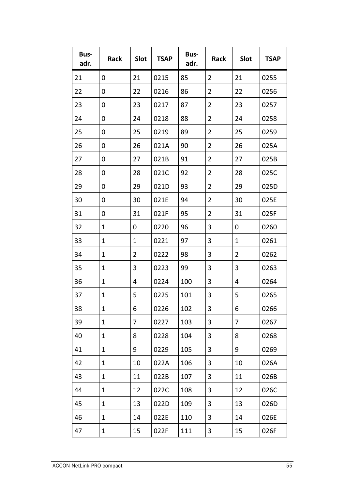| Bus-<br>adr. | Rack | Slot | <b>TSAP</b> | Bus-<br>adr. | Rack           | Slot           | <b>TSAP</b> |
|--------------|------|------|-------------|--------------|----------------|----------------|-------------|
| 21           | 0    | 21   | 0215        | 85           | $\overline{2}$ | 21             | 0255        |
| 22           | 0    | 22   | 0216        | 86           | 2              | 22             | 0256        |
| 23           | 0    | 23   | 0217        | 87           | 2              | 23             | 0257        |
| 24           | 0    | 24   | 0218        | 88           | 2              | 24             | 0258        |
| 25           | 0    | 25   | 0219        | 89           | $\overline{2}$ | 25             | 0259        |
| 26           | 0    | 26   | 021A        | 90           | 2              | 26             | 025A        |
| 27           | 0    | 27   | 021B        | 91           | 2              | 27             | 025B        |
| 28           | 0    | 28   | 021C        | 92           | 2              | 28             | 025C        |
| 29           | 0    | 29   | 021D        | 93           | 2              | 29             | 025D        |
| 30           | 0    | 30   | 021E        | 94           | 2              | 30             | 025E        |
| 31           | 0    | 31   | 021F        | 95           | 2              | 31             | 025F        |
| 32           | 1    | 0    | 0220        | 96           | 3              | 0              | 0260        |
| 33           | 1    | 1    | 0221        | 97           | 3              | 1              | 0261        |
| 34           | 1    | 2    | 0222        | 98           | 3              | $\overline{2}$ | 0262        |
| 35           | 1    | 3    | 0223        | 99           | 3              | 3              | 0263        |
| 36           | 1    | 4    | 0224        | 100          | 3              | 4              | 0264        |
| 37           | 1    | 5    | 0225        | 101          | 3              | 5              | 0265        |
| 38           | 1    | 6    | 0226        | 102          | 3              | 6              | 0266        |
| 39           | 1    | 7    | 0227        | 103          | 3              | 7              | 0267        |
| 40           | 1    | 8    | 0228        | 104          | 3              | 8              | 0268        |
| 41           | 1    | 9    | 0229        | 105          | 3              | 9              | 0269        |
| 42           | 1    | 10   | 022A        | 106          | 3              | 10             | 026A        |
| 43           | 1    | 11   | 022B        | 107          | 3              | 11             | 026B        |
| 44           | 1    | 12   | 022C        | 108          | 3              | 12             | 026C        |
| 45           | 1    | 13   | 022D        | 109          | 3              | 13             | 026D        |
| 46           | 1    | 14   | 022E        | 110          | 3              | 14             | 026E        |
| 47           | 1    | 15   | 022F        | 111          | 3              | 15             | 026F        |